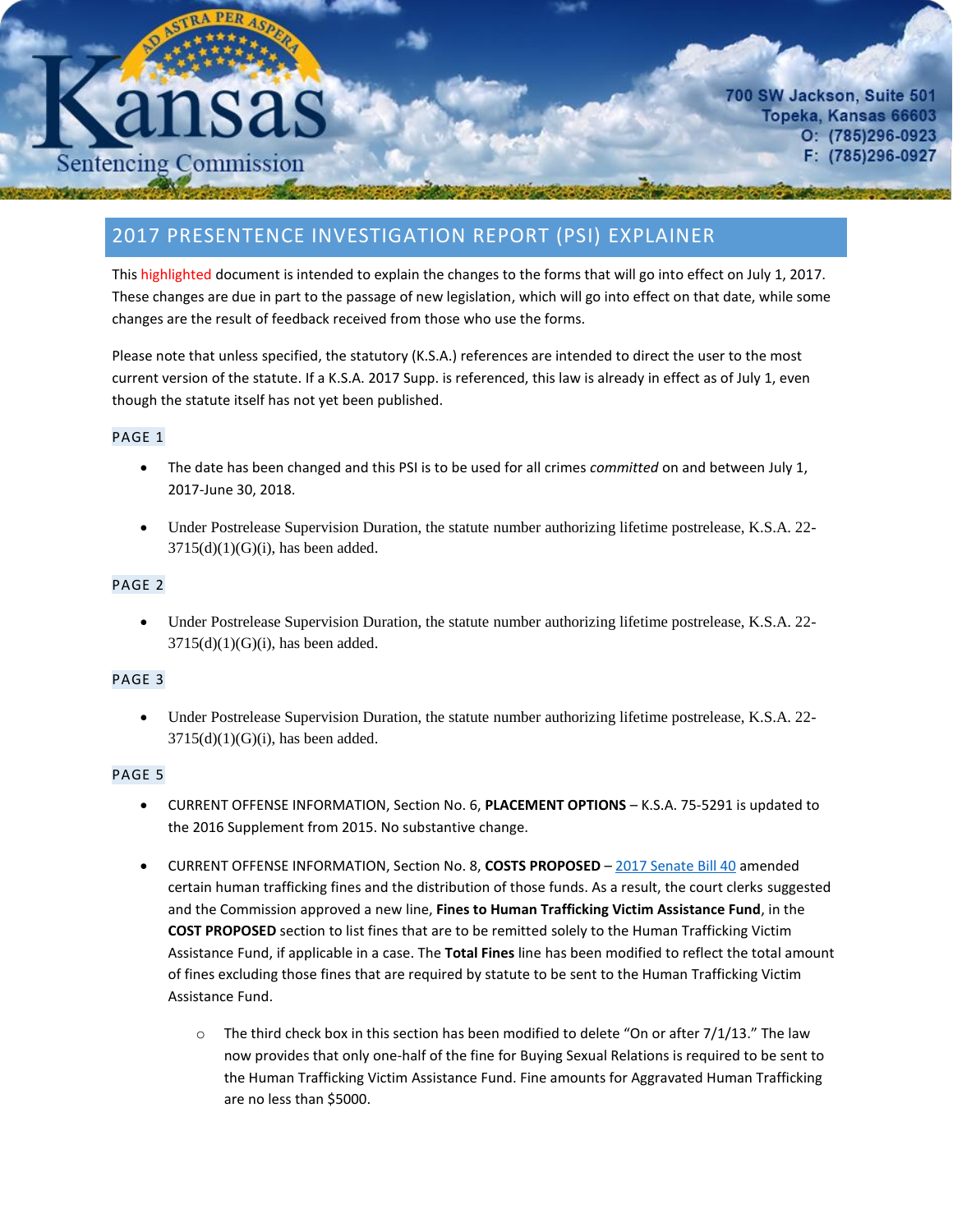# **Sentencing Commission**

700 SW Jackson, Suite 501 Topeka, Kansas 66603  $O: (785)296-0923$ F: (785)296-0927

# 2017 PRESENTENCE INVESTIGATION REPORT (PSI) EXPLAINER

This highlighted document is intended to explain the changes to the forms that will go into effect on July 1, 2017. These changes are due in part to the passage of new legislation, which will go into effect on that date, while some changes are the result of feedback received from those who use the forms.

Please note that unless specified, the statutory (K.S.A.) references are intended to direct the user to the most current version of the statute. If a K.S.A. 2017 Supp. is referenced, this law is already in effect as of July 1, even though the statute itself has not yet been published.

### PAGE 1

- The date has been changed and this PSI is to be used for all crimes *committed* on and between July 1, 2017-June 30, 2018.
- Under Postrelease Supervision Duration, the statute number authorizing lifetime postrelease, K.S.A. 22-  $3715(d)(1)(G)(i)$ , has been added.

## PAGE 2

 Under Postrelease Supervision Duration, the statute number authorizing lifetime postrelease, K.S.A. 22-  $3715(d)(1)(G)(i)$ , has been added.

### PAGE 3

 Under Postrelease Supervision Duration, the statute number authorizing lifetime postrelease, K.S.A. 22-  $3715(d)(1)(G)(i)$ , has been added.

### PAGE 5

- CURRENT OFFENSE INFORMATION, Section No. 6, **PLACEMENT OPTIONS** K.S.A. 75-5291 is updated to the 2016 Supplement from 2015. No substantive change.
- CURRENT OFFENSE INFORMATION, Section No. 8, **COSTS PROPOSED** [2017 Senate Bill](http://www.kslegislature.org/li/b2017_18/measures/sb40/) 40 amended certain human trafficking fines and the distribution of those funds. As a result, the court clerks suggested and the Commission approved a new line, **Fines to Human Trafficking Victim Assistance Fund**, in the **COST PROPOSED** section to list fines that are to be remitted solely to the Human Trafficking Victim Assistance Fund, if applicable in a case. The **Total Fines** line has been modified to reflect the total amount of fines excluding those fines that are required by statute to be sent to the Human Trafficking Victim Assistance Fund.
	- $\circ$  The third check box in this section has been modified to delete "On or after 7/1/13." The law now provides that only one-half of the fine for Buying Sexual Relations is required to be sent to the Human Trafficking Victim Assistance Fund. Fine amounts for Aggravated Human Trafficking are no less than \$5000.